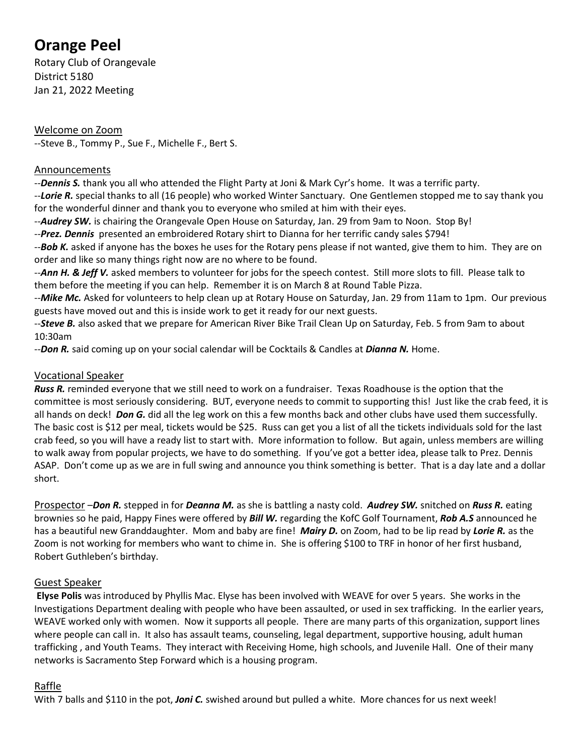# **Orange Peel**

Rotary Club of Orangevale District 5180 Jan 21, 2022 Meeting

### Welcome on Zoom

--Steve B., Tommy P., Sue F., Michelle F., Bert S.

#### Announcements

--*Dennis S.* thank you all who attended the Flight Party at Joni & Mark Cyr's home. It was a terrific party.

--*Lorie R.* special thanks to all (16 people) who worked Winter Sanctuary. One Gentlemen stopped me to say thank you for the wonderful dinner and thank you to everyone who smiled at him with their eyes.

--*Audrey SW.* is chairing the Orangevale Open House on Saturday, Jan. 29 from 9am to Noon. Stop By!

--*Prez. Dennis* presented an embroidered Rotary shirt to Dianna for her terrific candy sales \$794!

--*Bob K.* asked if anyone has the boxes he uses for the Rotary pens please if not wanted, give them to him. They are on order and like so many things right now are no where to be found.

--*Ann H. & Jeff V.* asked members to volunteer for jobs for the speech contest. Still more slots to fill. Please talk to them before the meeting if you can help. Remember it is on March 8 at Round Table Pizza.

--*Mike Mc.* Asked for volunteers to help clean up at Rotary House on Saturday, Jan. 29 from 11am to 1pm. Our previous guests have moved out and this is inside work to get it ready for our next guests.

--*Steve B.* also asked that we prepare for American River Bike Trail Clean Up on Saturday, Feb. 5 from 9am to about 10:30am

--*Don R.* said coming up on your social calendar will be Cocktails & Candles at *Dianna N.* Home.

# Vocational Speaker

*Russ R.* reminded everyone that we still need to work on a fundraiser. Texas Roadhouse is the option that the committee is most seriously considering. BUT, everyone needs to commit to supporting this! Just like the crab feed, it is all hands on deck! *Don G.* did all the leg work on this a few months back and other clubs have used them successfully. The basic cost is \$12 per meal, tickets would be \$25. Russ can get you a list of all the tickets individuals sold for the last crab feed, so you will have a ready list to start with. More information to follow. But again, unless members are willing to walk away from popular projects, we have to do something. If you've got a better idea, please talk to Prez. Dennis ASAP. Don't come up as we are in full swing and announce you think something is better. That is a day late and a dollar short.

Prospector –*Don R.* stepped in for *Deanna M.* as she is battling a nasty cold. *Audrey SW.* snitched on *Russ R.* eating brownies so he paid, Happy Fines were offered by *Bill W.* regarding the KofC Golf Tournament, *Rob A.S* announced he has a beautiful new Granddaughter. Mom and baby are fine! *Mairy D.* on Zoom, had to be lip read by *Lorie R.* as the Zoom is not working for members who want to chime in. She is offering \$100 to TRF in honor of her first husband, Robert Guthleben's birthday.

## Guest Speaker

**Elyse Polis** was introduced by Phyllis Mac. Elyse has been involved with WEAVE for over 5 years. She works in the Investigations Department dealing with people who have been assaulted, or used in sex trafficking. In the earlier years, WEAVE worked only with women. Now it supports all people. There are many parts of this organization, support lines where people can call in. It also has assault teams, counseling, legal department, supportive housing, adult human trafficking , and Youth Teams. They interact with Receiving Home, high schools, and Juvenile Hall. One of their many networks is Sacramento Step Forward which is a housing program.

# Raffle

With 7 balls and \$110 in the pot, *Joni C.* swished around but pulled a white. More chances for us next week!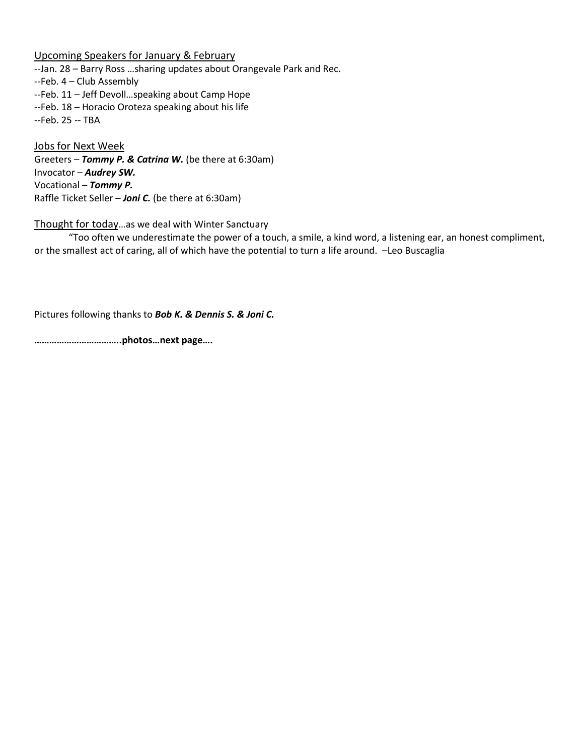Upcoming Speakers for January & February

--Jan. 28 – Barry Ross …sharing updates about Orangevale Park and Rec.

--Feb. 4 – Club Assembly

--Feb. 11 – Jeff Devoll…speaking about Camp Hope

--Feb. 18 – Horacio Oroteza speaking about his life

--Feb. 25 -- TBA

Jobs for Next Week Greeters – *Tommy P. & Catrina W.* (be there at 6:30am) Invocator – *Audrey SW.* Vocational – *Tommy P.* Raffle Ticket Seller – *Joni C.* (be there at 6:30am)

#### Thought for today...as we deal with Winter Sanctuary

"Too often we underestimate the power of a touch, a smile, a kind word, a listening ear, an honest compliment, or the smallest act of caring, all of which have the potential to turn a life around. –Leo Buscaglia

Pictures following thanks to *Bob K. & Dennis S. & Joni C.*

**……………………………..photos…next page….**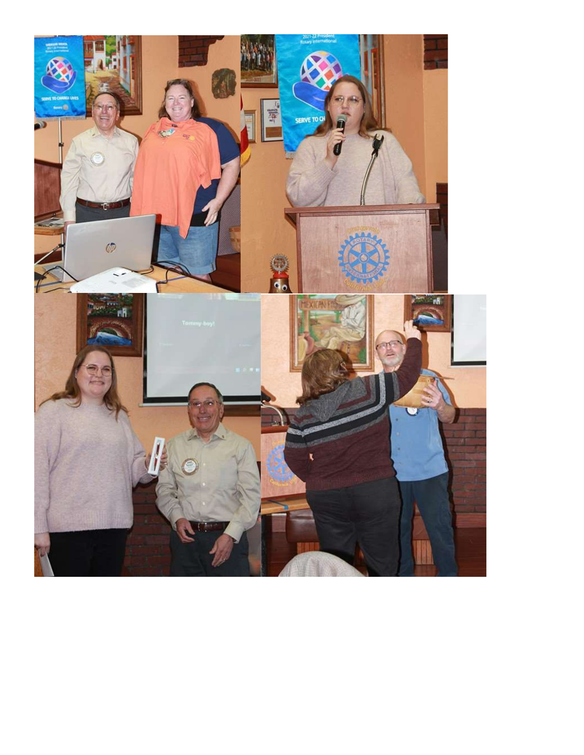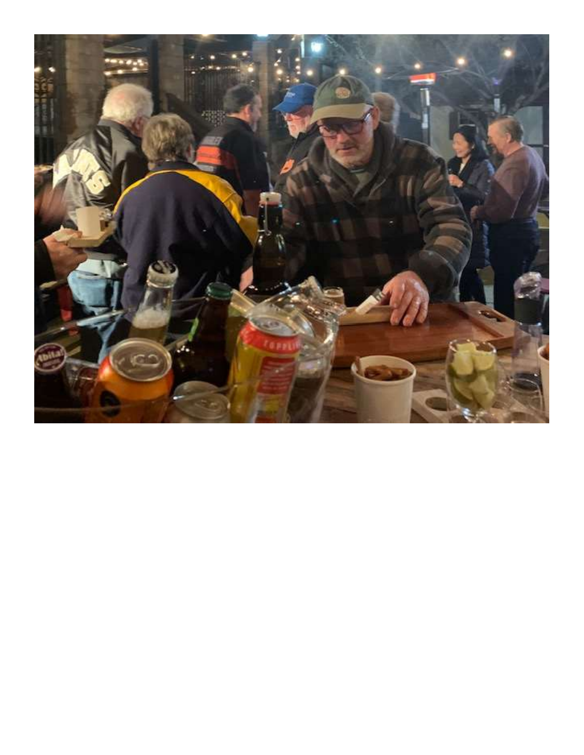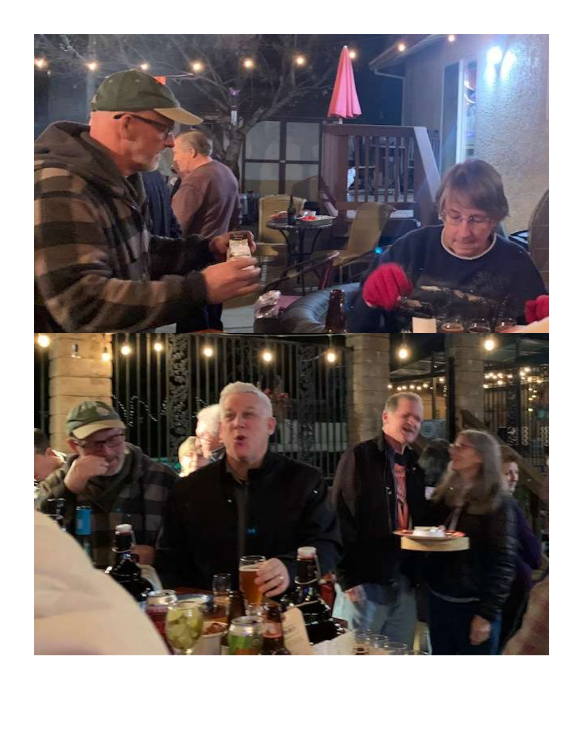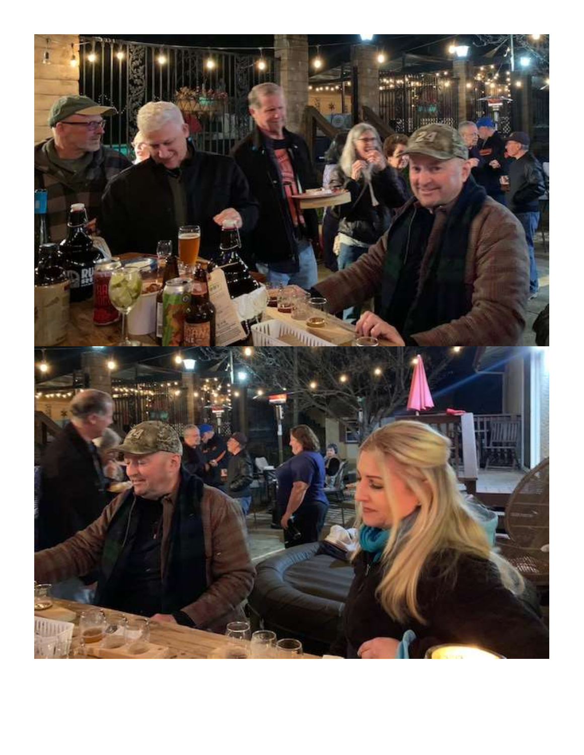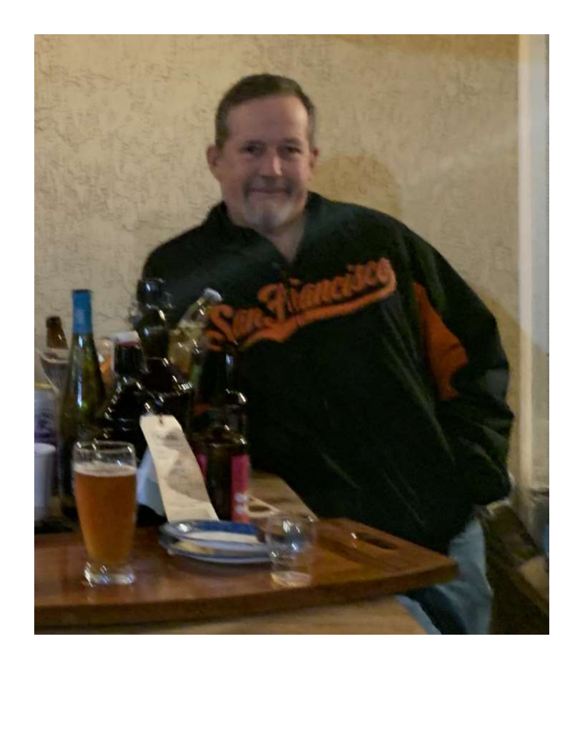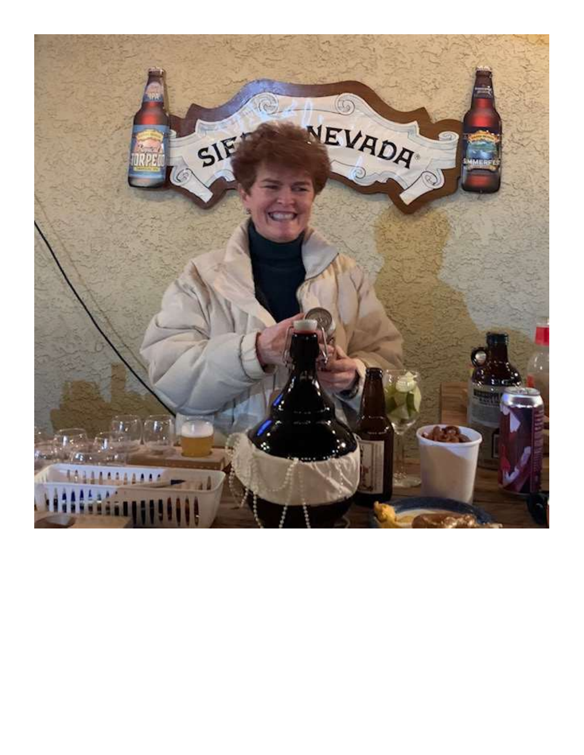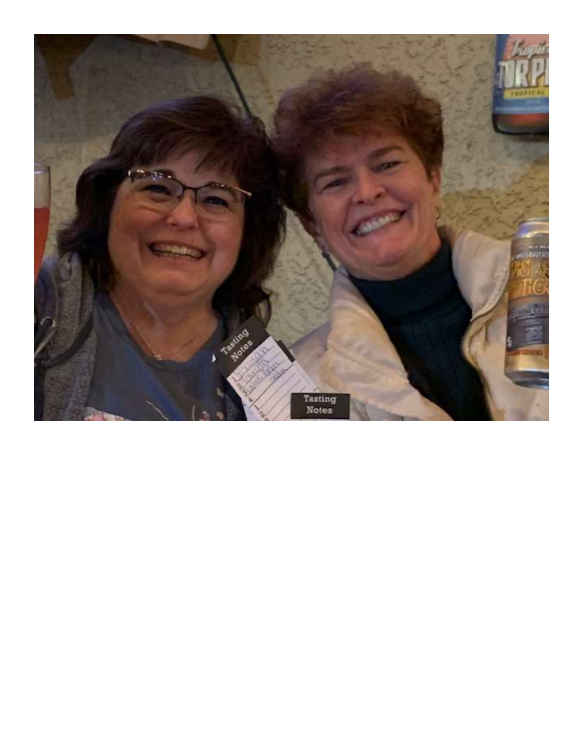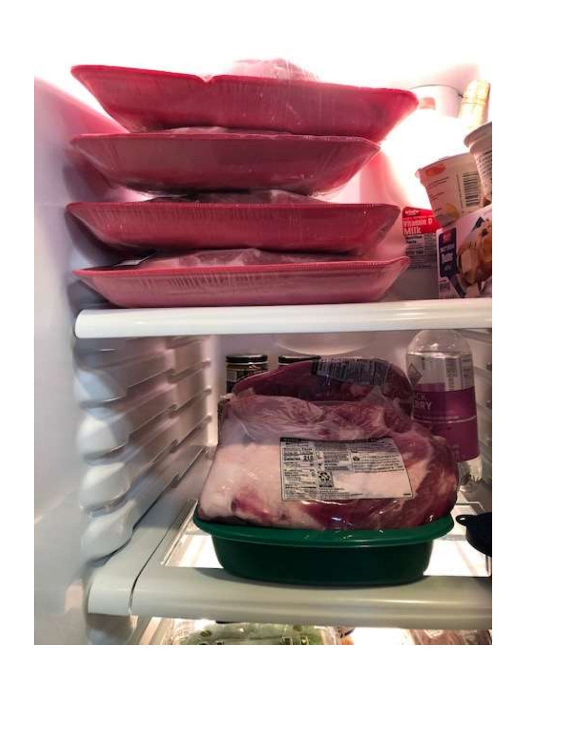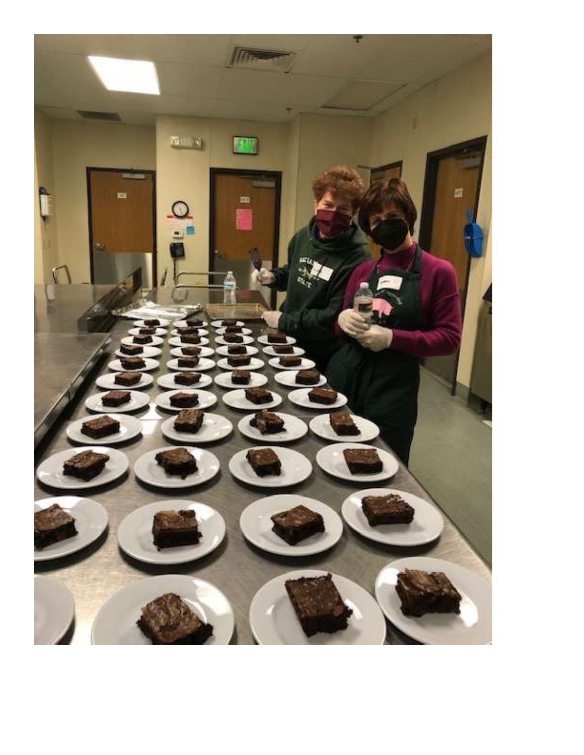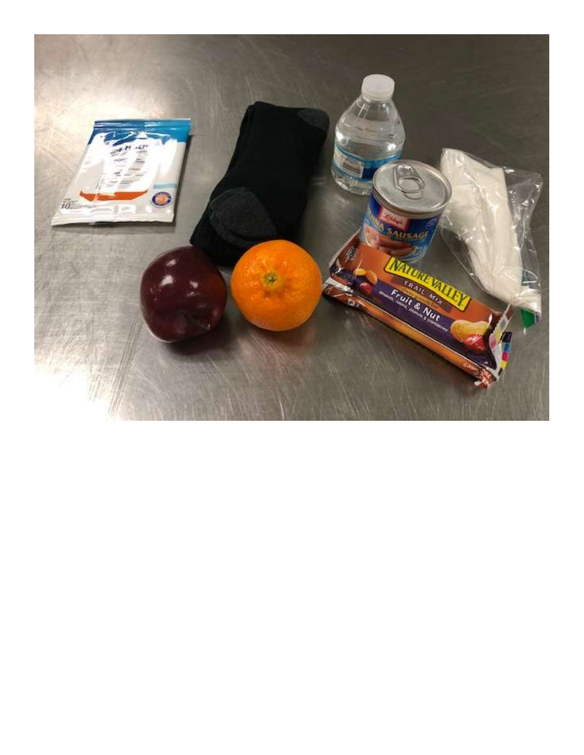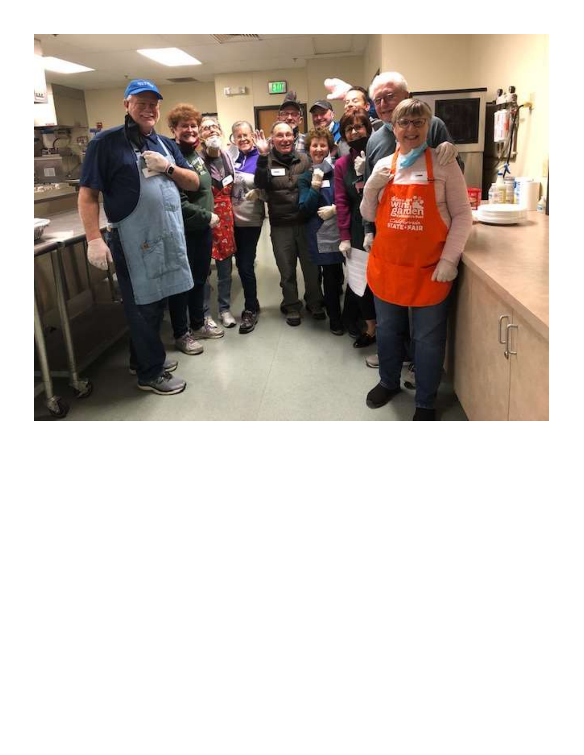